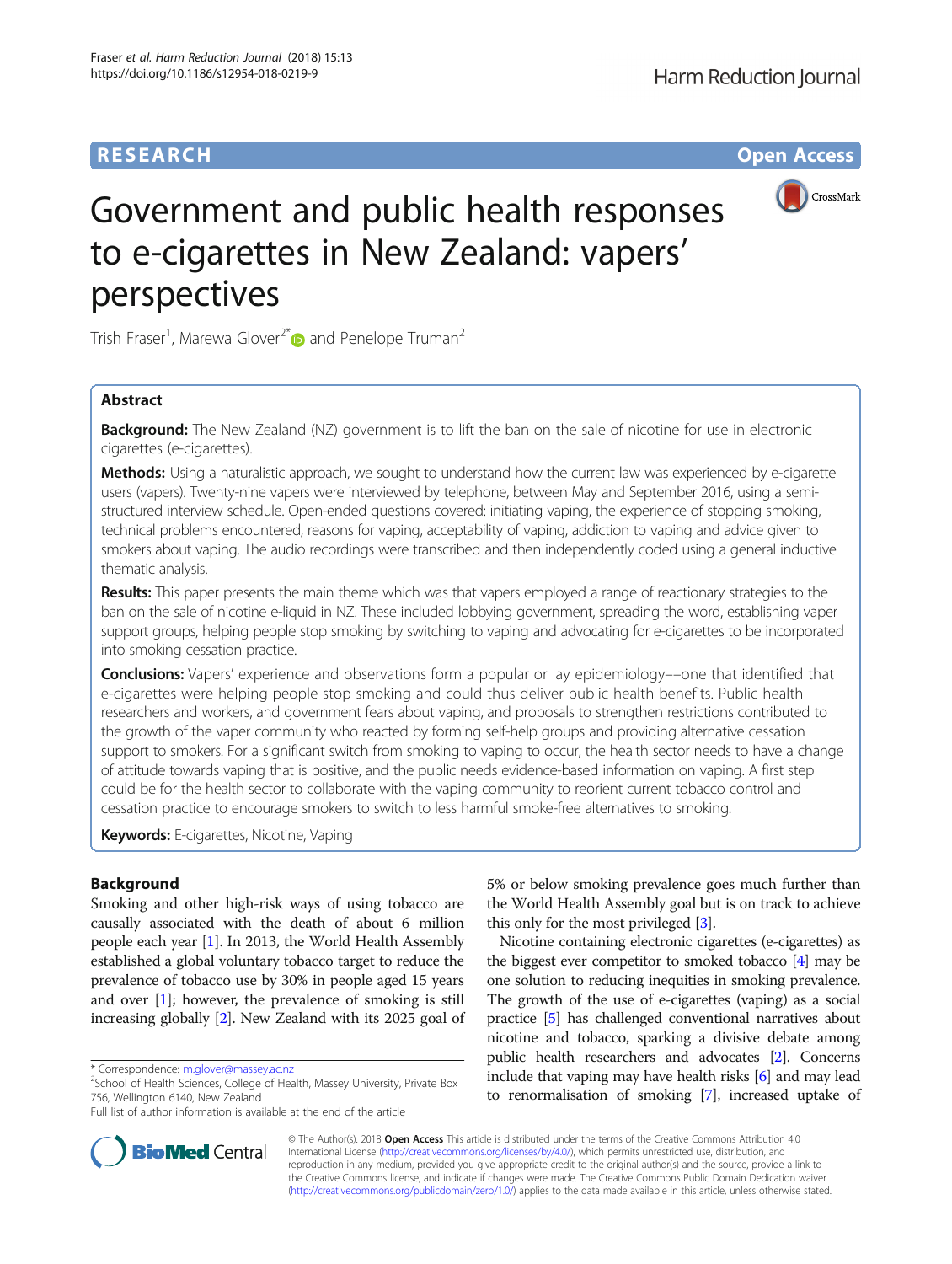# **RESEARCH CHE Open Access**



# Government and public health responses to e-cigarettes in New Zealand: vapers' perspectives

Trish Fraser<sup>1</sup>, Marewa Glover<sup>2[\\*](http://orcid.org/0000-0002-1572-3784)</sup> $\bm{\mathsf{\Xi}}$  and Penelope Truman<sup>2</sup>

## Abstract

**Background:** The New Zealand (NZ) government is to lift the ban on the sale of nicotine for use in electronic cigarettes (e-cigarettes).

Methods: Using a naturalistic approach, we sought to understand how the current law was experienced by e-cigarette users (vapers). Twenty-nine vapers were interviewed by telephone, between May and September 2016, using a semistructured interview schedule. Open-ended questions covered: initiating vaping, the experience of stopping smoking, technical problems encountered, reasons for vaping, acceptability of vaping, addiction to vaping and advice given to smokers about vaping. The audio recordings were transcribed and then independently coded using a general inductive thematic analysis.

Results: This paper presents the main theme which was that vapers employed a range of reactionary strategies to the ban on the sale of nicotine e-liquid in NZ. These included lobbying government, spreading the word, establishing vaper support groups, helping people stop smoking by switching to vaping and advocating for e-cigarettes to be incorporated into smoking cessation practice.

**Conclusions:** Vapers' experience and observations form a popular or lay epidemiology––one that identified that e-cigarettes were helping people stop smoking and could thus deliver public health benefits. Public health researchers and workers, and government fears about vaping, and proposals to strengthen restrictions contributed to the growth of the vaper community who reacted by forming self-help groups and providing alternative cessation support to smokers. For a significant switch from smoking to vaping to occur, the health sector needs to have a change of attitude towards vaping that is positive, and the public needs evidence-based information on vaping. A first step could be for the health sector to collaborate with the vaping community to reorient current tobacco control and cessation practice to encourage smokers to switch to less harmful smoke-free alternatives to smoking.

Keywords: E-cigarettes, Nicotine, Vaping

## Background

Smoking and other high-risk ways of using tobacco are causally associated with the death of about 6 million people each year [\[1](#page-8-0)]. In 2013, the World Health Assembly established a global voluntary tobacco target to reduce the prevalence of tobacco use by 30% in people aged 15 years and over  $[1]$  $[1]$ ; however, the prevalence of smoking is still increasing globally [\[2](#page-8-0)]. New Zealand with its 2025 goal of 5% or below smoking prevalence goes much further than the World Health Assembly goal but is on track to achieve this only for the most privileged [\[3\]](#page-8-0).

Nicotine containing electronic cigarettes (e-cigarettes) as the biggest ever competitor to smoked tobacco [[4](#page-8-0)] may be one solution to reducing inequities in smoking prevalence. The growth of the use of e-cigarettes (vaping) as a social practice [\[5\]](#page-8-0) has challenged conventional narratives about nicotine and tobacco, sparking a divisive debate among public health researchers and advocates [[2](#page-8-0)]. Concerns include that vaping may have health risks [\[6\]](#page-8-0) and may lead to renormalisation of smoking [\[7\]](#page-8-0), increased uptake of



© The Author(s). 2018 Open Access This article is distributed under the terms of the Creative Commons Attribution 4.0 International License [\(http://creativecommons.org/licenses/by/4.0/](http://creativecommons.org/licenses/by/4.0/)), which permits unrestricted use, distribution, and reproduction in any medium, provided you give appropriate credit to the original author(s) and the source, provide a link to the Creative Commons license, and indicate if changes were made. The Creative Commons Public Domain Dedication waiver [\(http://creativecommons.org/publicdomain/zero/1.0/](http://creativecommons.org/publicdomain/zero/1.0/)) applies to the data made available in this article, unless otherwise stated.

<sup>\*</sup> Correspondence: [m.glover@massey.ac.nz](mailto:m.glover@massey.ac.nz) <sup>2</sup>

<sup>&</sup>lt;sup>2</sup>School of Health Sciences, College of Health, Massey University, Private Box 756, Wellington 6140, New Zealand

Full list of author information is available at the end of the article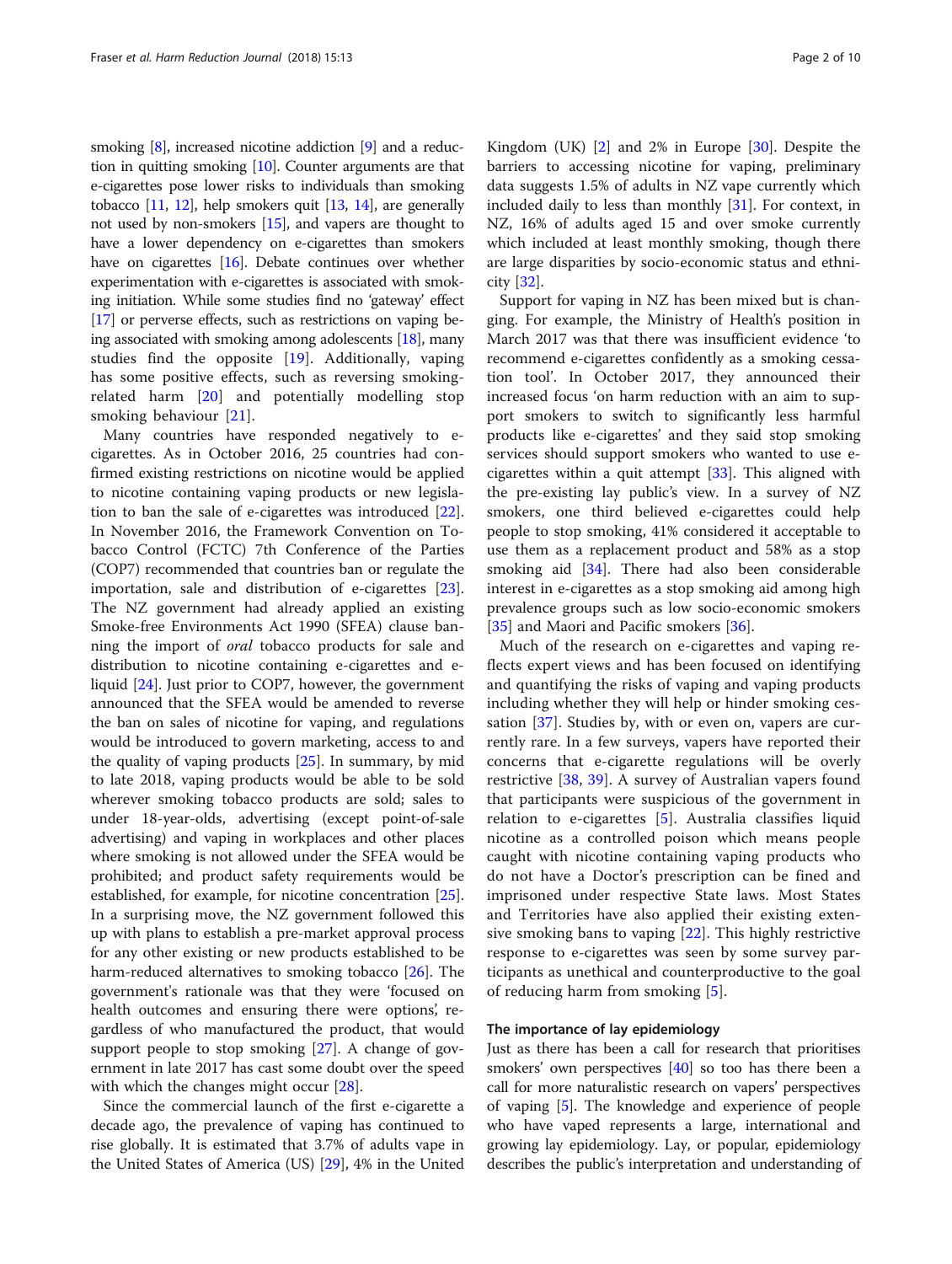smoking [[8](#page-8-0)], increased nicotine addiction [\[9](#page-8-0)] and a reduction in quitting smoking  $[10]$  $[10]$  $[10]$ . Counter arguments are that e-cigarettes pose lower risks to individuals than smoking tobacco [\[11](#page-8-0), [12\]](#page-8-0), help smokers quit [\[13,](#page-8-0) [14\]](#page-8-0), are generally not used by non-smokers [[15](#page-8-0)], and vapers are thought to have a lower dependency on e-cigarettes than smokers have on cigarettes [\[16\]](#page-8-0). Debate continues over whether experimentation with e-cigarettes is associated with smoking initiation. While some studies find no 'gateway' effect [[17](#page-8-0)] or perverse effects, such as restrictions on vaping being associated with smoking among adolescents  $[18]$ , many studies find the opposite [[19\]](#page-8-0). Additionally, vaping has some positive effects, such as reversing smokingrelated harm [[20\]](#page-8-0) and potentially modelling stop smoking behaviour [\[21](#page-8-0)].

Many countries have responded negatively to ecigarettes. As in October 2016, 25 countries had confirmed existing restrictions on nicotine would be applied to nicotine containing vaping products or new legislation to ban the sale of e-cigarettes was introduced [\[22](#page-8-0)]. In November 2016, the Framework Convention on Tobacco Control (FCTC) 7th Conference of the Parties (COP7) recommended that countries ban or regulate the importation, sale and distribution of e-cigarettes [\[23](#page-8-0)]. The NZ government had already applied an existing Smoke-free Environments Act 1990 (SFEA) clause banning the import of oral tobacco products for sale and distribution to nicotine containing e-cigarettes and eliquid [\[24](#page-8-0)]. Just prior to COP7, however, the government announced that the SFEA would be amended to reverse the ban on sales of nicotine for vaping, and regulations would be introduced to govern marketing, access to and the quality of vaping products [[25\]](#page-8-0). In summary, by mid to late 2018, vaping products would be able to be sold wherever smoking tobacco products are sold; sales to under 18-year-olds, advertising (except point-of-sale advertising) and vaping in workplaces and other places where smoking is not allowed under the SFEA would be prohibited; and product safety requirements would be established, for example, for nicotine concentration [\[25](#page-8-0)]. In a surprising move, the NZ government followed this up with plans to establish a pre-market approval process for any other existing or new products established to be harm-reduced alternatives to smoking tobacco [[26\]](#page-8-0). The government's rationale was that they were 'focused on health outcomes and ensuring there were options', regardless of who manufactured the product, that would support people to stop smoking [\[27](#page-9-0)]. A change of government in late 2017 has cast some doubt over the speed with which the changes might occur [\[28\]](#page-9-0).

Since the commercial launch of the first e-cigarette a decade ago, the prevalence of vaping has continued to rise globally. It is estimated that 3.7% of adults vape in the United States of America (US) [\[29\]](#page-9-0), 4% in the United

Kingdom (UK) [\[2](#page-8-0)] and 2% in Europe [\[30](#page-9-0)]. Despite the barriers to accessing nicotine for vaping, preliminary data suggests 1.5% of adults in NZ vape currently which included daily to less than monthly [\[31](#page-9-0)]. For context, in NZ, 16% of adults aged 15 and over smoke currently which included at least monthly smoking, though there are large disparities by socio-economic status and ethnicity [\[32](#page-9-0)].

Support for vaping in NZ has been mixed but is changing. For example, the Ministry of Health's position in March 2017 was that there was insufficient evidence 'to recommend e-cigarettes confidently as a smoking cessation tool'. In October 2017, they announced their increased focus 'on harm reduction with an aim to support smokers to switch to significantly less harmful products like e-cigarettes' and they said stop smoking services should support smokers who wanted to use ecigarettes within a quit attempt [[33](#page-9-0)]. This aligned with the pre-existing lay public's view. In a survey of NZ smokers, one third believed e-cigarettes could help people to stop smoking, 41% considered it acceptable to use them as a replacement product and 58% as a stop smoking aid [\[34\]](#page-9-0). There had also been considerable interest in e-cigarettes as a stop smoking aid among high prevalence groups such as low socio-economic smokers [[35\]](#page-9-0) and Maori and Pacific smokers [\[36\]](#page-9-0).

Much of the research on e-cigarettes and vaping reflects expert views and has been focused on identifying and quantifying the risks of vaping and vaping products including whether they will help or hinder smoking cessation [\[37](#page-9-0)]. Studies by, with or even on, vapers are currently rare. In a few surveys, vapers have reported their concerns that e-cigarette regulations will be overly restrictive [\[38](#page-9-0), [39\]](#page-9-0). A survey of Australian vapers found that participants were suspicious of the government in relation to e-cigarettes [\[5](#page-8-0)]. Australia classifies liquid nicotine as a controlled poison which means people caught with nicotine containing vaping products who do not have a Doctor's prescription can be fined and imprisoned under respective State laws. Most States and Territories have also applied their existing extensive smoking bans to vaping [[22\]](#page-8-0). This highly restrictive response to e-cigarettes was seen by some survey participants as unethical and counterproductive to the goal of reducing harm from smoking [[5\]](#page-8-0).

## The importance of lay epidemiology

Just as there has been a call for research that prioritises smokers' own perspectives  $[40]$  so too has there been a call for more naturalistic research on vapers' perspectives of vaping [\[5\]](#page-8-0). The knowledge and experience of people who have vaped represents a large, international and growing lay epidemiology. Lay, or popular, epidemiology describes the public's interpretation and understanding of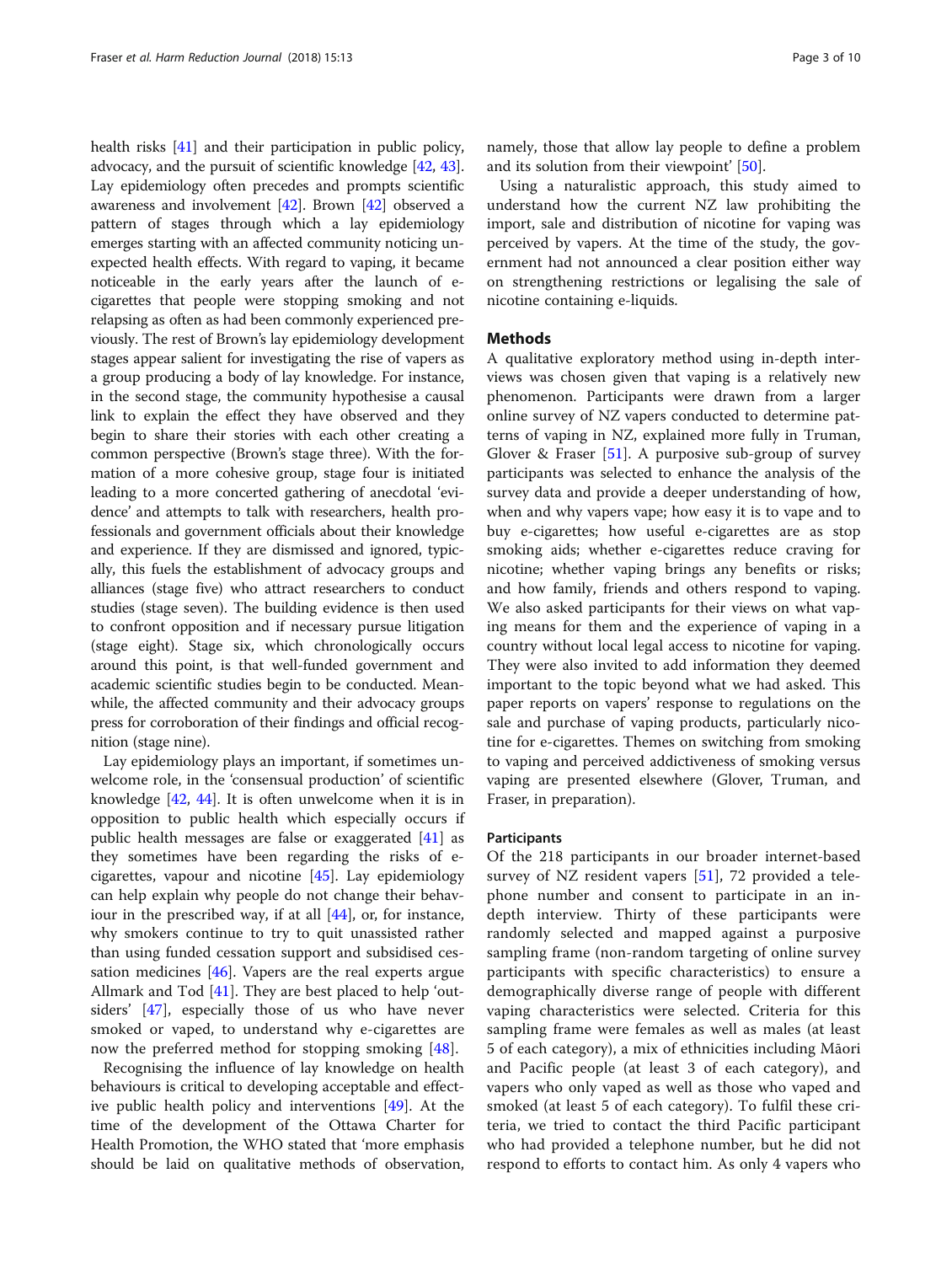health risks [[41\]](#page-9-0) and their participation in public policy, advocacy, and the pursuit of scientific knowledge [[42,](#page-9-0) [43](#page-9-0)]. Lay epidemiology often precedes and prompts scientific awareness and involvement [[42](#page-9-0)]. Brown [\[42\]](#page-9-0) observed a pattern of stages through which a lay epidemiology emerges starting with an affected community noticing unexpected health effects. With regard to vaping, it became noticeable in the early years after the launch of ecigarettes that people were stopping smoking and not relapsing as often as had been commonly experienced previously. The rest of Brown's lay epidemiology development stages appear salient for investigating the rise of vapers as a group producing a body of lay knowledge. For instance, in the second stage, the community hypothesise a causal link to explain the effect they have observed and they begin to share their stories with each other creating a common perspective (Brown's stage three). With the formation of a more cohesive group, stage four is initiated leading to a more concerted gathering of anecdotal 'evidence' and attempts to talk with researchers, health professionals and government officials about their knowledge and experience. If they are dismissed and ignored, typically, this fuels the establishment of advocacy groups and alliances (stage five) who attract researchers to conduct studies (stage seven). The building evidence is then used to confront opposition and if necessary pursue litigation (stage eight). Stage six, which chronologically occurs around this point, is that well-funded government and academic scientific studies begin to be conducted. Meanwhile, the affected community and their advocacy groups press for corroboration of their findings and official recognition (stage nine).

Lay epidemiology plays an important, if sometimes unwelcome role, in the 'consensual production' of scientific knowledge [\[42](#page-9-0), [44\]](#page-9-0). It is often unwelcome when it is in opposition to public health which especially occurs if public health messages are false or exaggerated [\[41\]](#page-9-0) as they sometimes have been regarding the risks of ecigarettes, vapour and nicotine [[45\]](#page-9-0). Lay epidemiology can help explain why people do not change their behaviour in the prescribed way, if at all [[44](#page-9-0)], or, for instance, why smokers continue to try to quit unassisted rather than using funded cessation support and subsidised cessation medicines [[46\]](#page-9-0). Vapers are the real experts argue Allmark and Tod [\[41\]](#page-9-0). They are best placed to help 'outsiders' [[47\]](#page-9-0), especially those of us who have never smoked or vaped, to understand why e-cigarettes are now the preferred method for stopping smoking [[48\]](#page-9-0).

Recognising the influence of lay knowledge on health behaviours is critical to developing acceptable and effective public health policy and interventions [[49\]](#page-9-0). At the time of the development of the Ottawa Charter for Health Promotion, the WHO stated that 'more emphasis should be laid on qualitative methods of observation,

namely, those that allow lay people to define a problem and its solution from their viewpoint' [\[50](#page-9-0)].

Using a naturalistic approach, this study aimed to understand how the current NZ law prohibiting the import, sale and distribution of nicotine for vaping was perceived by vapers. At the time of the study, the government had not announced a clear position either way on strengthening restrictions or legalising the sale of nicotine containing e-liquids.

## **Methods**

A qualitative exploratory method using in-depth interviews was chosen given that vaping is a relatively new phenomenon. Participants were drawn from a larger online survey of NZ vapers conducted to determine patterns of vaping in NZ, explained more fully in Truman, Glover & Fraser [[51\]](#page-9-0). A purposive sub-group of survey participants was selected to enhance the analysis of the survey data and provide a deeper understanding of how, when and why vapers vape; how easy it is to vape and to buy e-cigarettes; how useful e-cigarettes are as stop smoking aids; whether e-cigarettes reduce craving for nicotine; whether vaping brings any benefits or risks; and how family, friends and others respond to vaping. We also asked participants for their views on what vaping means for them and the experience of vaping in a country without local legal access to nicotine for vaping. They were also invited to add information they deemed important to the topic beyond what we had asked. This paper reports on vapers' response to regulations on the sale and purchase of vaping products, particularly nicotine for e-cigarettes. Themes on switching from smoking to vaping and perceived addictiveness of smoking versus vaping are presented elsewhere (Glover, Truman, and Fraser, in preparation).

#### **Participants**

Of the 218 participants in our broader internet-based survey of NZ resident vapers [\[51](#page-9-0)], 72 provided a telephone number and consent to participate in an indepth interview. Thirty of these participants were randomly selected and mapped against a purposive sampling frame (non-random targeting of online survey participants with specific characteristics) to ensure a demographically diverse range of people with different vaping characteristics were selected. Criteria for this sampling frame were females as well as males (at least 5 of each category), a mix of ethnicities including Māori and Pacific people (at least 3 of each category), and vapers who only vaped as well as those who vaped and smoked (at least 5 of each category). To fulfil these criteria, we tried to contact the third Pacific participant who had provided a telephone number, but he did not respond to efforts to contact him. As only 4 vapers who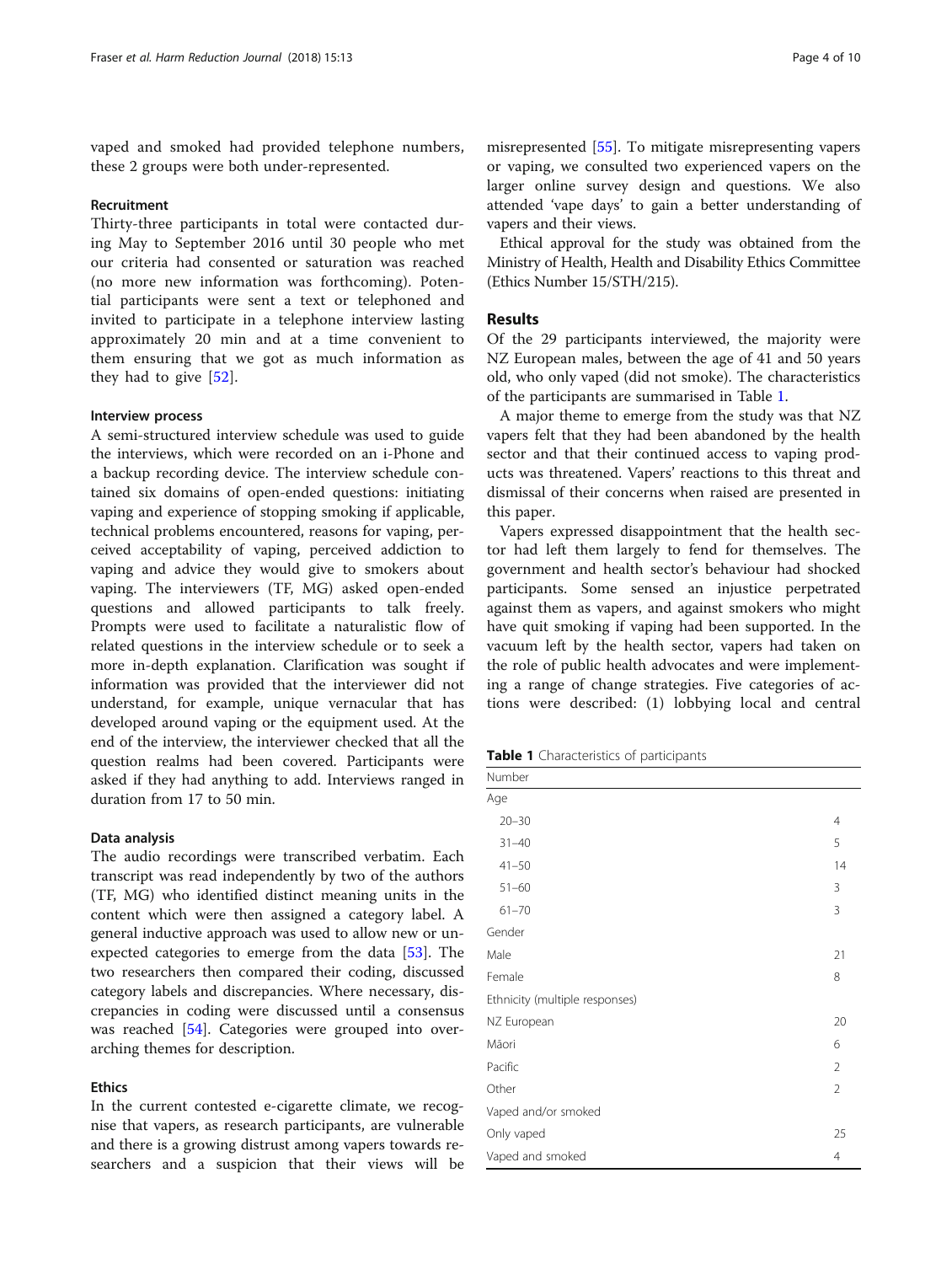vaped and smoked had provided telephone numbers, these 2 groups were both under-represented.

#### Recruitment

Thirty-three participants in total were contacted during May to September 2016 until 30 people who met our criteria had consented or saturation was reached (no more new information was forthcoming). Potential participants were sent a text or telephoned and invited to participate in a telephone interview lasting approximately 20 min and at a time convenient to them ensuring that we got as much information as they had to give [\[52](#page-9-0)].

#### Interview process

A semi-structured interview schedule was used to guide the interviews, which were recorded on an i-Phone and a backup recording device. The interview schedule contained six domains of open-ended questions: initiating vaping and experience of stopping smoking if applicable, technical problems encountered, reasons for vaping, perceived acceptability of vaping, perceived addiction to vaping and advice they would give to smokers about vaping. The interviewers (TF, MG) asked open-ended questions and allowed participants to talk freely. Prompts were used to facilitate a naturalistic flow of related questions in the interview schedule or to seek a more in-depth explanation. Clarification was sought if information was provided that the interviewer did not understand, for example, unique vernacular that has developed around vaping or the equipment used. At the end of the interview, the interviewer checked that all the question realms had been covered. Participants were asked if they had anything to add. Interviews ranged in duration from 17 to 50 min.

#### Data analysis

The audio recordings were transcribed verbatim. Each transcript was read independently by two of the authors (TF, MG) who identified distinct meaning units in the content which were then assigned a category label. A general inductive approach was used to allow new or unexpected categories to emerge from the data [[53\]](#page-9-0). The two researchers then compared their coding, discussed category labels and discrepancies. Where necessary, discrepancies in coding were discussed until a consensus was reached [[54\]](#page-9-0). Categories were grouped into overarching themes for description.

## Ethics

In the current contested e-cigarette climate, we recognise that vapers, as research participants, are vulnerable and there is a growing distrust among vapers towards researchers and a suspicion that their views will be

misrepresented [[55](#page-9-0)]. To mitigate misrepresenting vapers or vaping, we consulted two experienced vapers on the larger online survey design and questions. We also attended 'vape days' to gain a better understanding of vapers and their views.

Ethical approval for the study was obtained from the Ministry of Health, Health and Disability Ethics Committee (Ethics Number 15/STH/215).

### Results

Of the 29 participants interviewed, the majority were NZ European males, between the age of 41 and 50 years old, who only vaped (did not smoke). The characteristics of the participants are summarised in Table 1.

A major theme to emerge from the study was that NZ vapers felt that they had been abandoned by the health sector and that their continued access to vaping products was threatened. Vapers' reactions to this threat and dismissal of their concerns when raised are presented in this paper.

Vapers expressed disappointment that the health sector had left them largely to fend for themselves. The government and health sector's behaviour had shocked participants. Some sensed an injustice perpetrated against them as vapers, and against smokers who might have quit smoking if vaping had been supported. In the vacuum left by the health sector, vapers had taken on the role of public health advocates and were implementing a range of change strategies. Five categories of actions were described: (1) lobbying local and central

Table 1 Characteristics of participants

| Number                         |                |
|--------------------------------|----------------|
| Age                            |                |
| $20 - 30$                      | $\overline{4}$ |
| $31 - 40$                      | 5              |
| $41 - 50$                      | 14             |
| $51 - 60$                      | 3              |
| $61 - 70$                      | 3              |
| Gender                         |                |
| Male                           | 21             |
| Female                         | 8              |
| Ethnicity (multiple responses) |                |
| NZ European                    | 20             |
| Māori                          | 6              |
| Pacific                        | $\overline{2}$ |
| Other                          | $\overline{2}$ |
| Vaped and/or smoked            |                |
| Only vaped                     | 25             |
| Vaped and smoked               | 4              |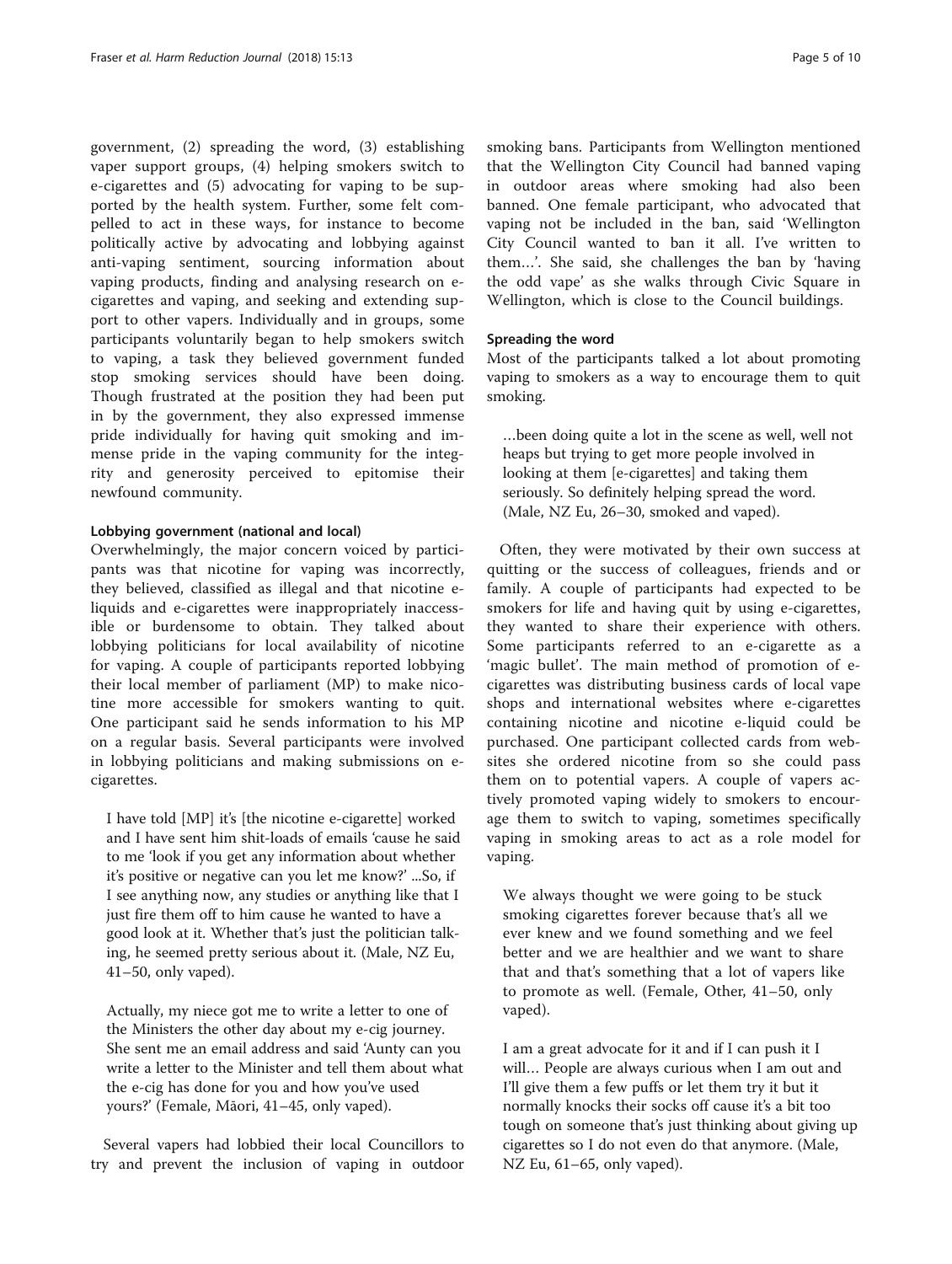government, (2) spreading the word, (3) establishing vaper support groups, (4) helping smokers switch to e-cigarettes and (5) advocating for vaping to be supported by the health system. Further, some felt compelled to act in these ways, for instance to become politically active by advocating and lobbying against anti-vaping sentiment, sourcing information about vaping products, finding and analysing research on ecigarettes and vaping, and seeking and extending support to other vapers. Individually and in groups, some participants voluntarily began to help smokers switch to vaping, a task they believed government funded stop smoking services should have been doing. Though frustrated at the position they had been put in by the government, they also expressed immense pride individually for having quit smoking and immense pride in the vaping community for the integrity and generosity perceived to epitomise their newfound community.

### Lobbying government (national and local)

Overwhelmingly, the major concern voiced by participants was that nicotine for vaping was incorrectly, they believed, classified as illegal and that nicotine eliquids and e-cigarettes were inappropriately inaccessible or burdensome to obtain. They talked about lobbying politicians for local availability of nicotine for vaping. A couple of participants reported lobbying their local member of parliament (MP) to make nicotine more accessible for smokers wanting to quit. One participant said he sends information to his MP on a regular basis. Several participants were involved in lobbying politicians and making submissions on ecigarettes.

I have told [MP] it's [the nicotine e-cigarette] worked and I have sent him shit-loads of emails 'cause he said to me 'look if you get any information about whether it's positive or negative can you let me know?' ...So, if I see anything now, any studies or anything like that I just fire them off to him cause he wanted to have a good look at it. Whether that's just the politician talking, he seemed pretty serious about it. (Male, NZ Eu, 41–50, only vaped).

Actually, my niece got me to write a letter to one of the Ministers the other day about my e-cig journey. She sent me an email address and said 'Aunty can you write a letter to the Minister and tell them about what the e-cig has done for you and how you've used yours?' (Female, Māori, 41–45, only vaped).

Several vapers had lobbied their local Councillors to try and prevent the inclusion of vaping in outdoor smoking bans. Participants from Wellington mentioned that the Wellington City Council had banned vaping in outdoor areas where smoking had also been banned. One female participant, who advocated that vaping not be included in the ban, said 'Wellington City Council wanted to ban it all. I've written to them…'. She said, she challenges the ban by 'having the odd vape' as she walks through Civic Square in Wellington, which is close to the Council buildings.

#### Spreading the word

Most of the participants talked a lot about promoting vaping to smokers as a way to encourage them to quit smoking.

…been doing quite a lot in the scene as well, well not heaps but trying to get more people involved in looking at them [e-cigarettes] and taking them seriously. So definitely helping spread the word. (Male, NZ Eu, 26–30, smoked and vaped).

Often, they were motivated by their own success at quitting or the success of colleagues, friends and or family. A couple of participants had expected to be smokers for life and having quit by using e-cigarettes, they wanted to share their experience with others. Some participants referred to an e-cigarette as a 'magic bullet'. The main method of promotion of ecigarettes was distributing business cards of local vape shops and international websites where e-cigarettes containing nicotine and nicotine e-liquid could be purchased. One participant collected cards from websites she ordered nicotine from so she could pass them on to potential vapers. A couple of vapers actively promoted vaping widely to smokers to encourage them to switch to vaping, sometimes specifically vaping in smoking areas to act as a role model for vaping.

We always thought we were going to be stuck smoking cigarettes forever because that's all we ever knew and we found something and we feel better and we are healthier and we want to share that and that's something that a lot of vapers like to promote as well. (Female, Other, 41–50, only vaped).

I am a great advocate for it and if I can push it I will… People are always curious when I am out and I'll give them a few puffs or let them try it but it normally knocks their socks off cause it's a bit too tough on someone that's just thinking about giving up cigarettes so I do not even do that anymore. (Male, NZ Eu, 61–65, only vaped).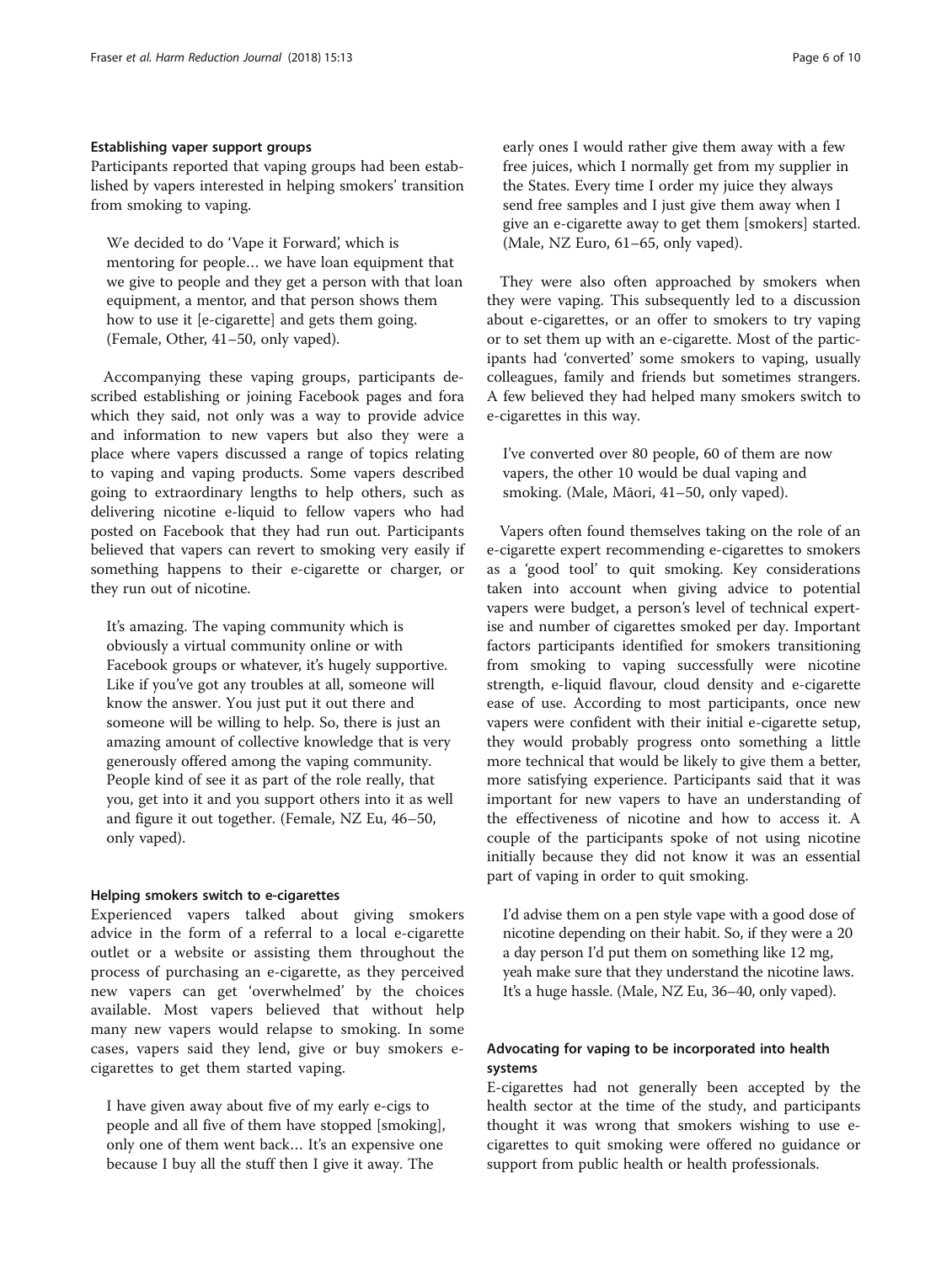## Establishing vaper support groups

Participants reported that vaping groups had been established by vapers interested in helping smokers' transition from smoking to vaping.

We decided to do 'Vape it Forward', which is mentoring for people… we have loan equipment that we give to people and they get a person with that loan equipment, a mentor, and that person shows them how to use it [e-cigarette] and gets them going. (Female, Other, 41–50, only vaped).

Accompanying these vaping groups, participants described establishing or joining Facebook pages and fora which they said, not only was a way to provide advice and information to new vapers but also they were a place where vapers discussed a range of topics relating to vaping and vaping products. Some vapers described going to extraordinary lengths to help others, such as delivering nicotine e-liquid to fellow vapers who had posted on Facebook that they had run out. Participants believed that vapers can revert to smoking very easily if something happens to their e-cigarette or charger, or they run out of nicotine.

It's amazing. The vaping community which is obviously a virtual community online or with Facebook groups or whatever, it's hugely supportive. Like if you've got any troubles at all, someone will know the answer. You just put it out there and someone will be willing to help. So, there is just an amazing amount of collective knowledge that is very generously offered among the vaping community. People kind of see it as part of the role really, that you, get into it and you support others into it as well and figure it out together. (Female, NZ Eu, 46–50, only vaped).

#### Helping smokers switch to e-cigarettes

Experienced vapers talked about giving smokers advice in the form of a referral to a local e-cigarette outlet or a website or assisting them throughout the process of purchasing an e-cigarette, as they perceived new vapers can get 'overwhelmed' by the choices available. Most vapers believed that without help many new vapers would relapse to smoking. In some cases, vapers said they lend, give or buy smokers ecigarettes to get them started vaping.

I have given away about five of my early e-cigs to people and all five of them have stopped [smoking], only one of them went back… It's an expensive one because I buy all the stuff then I give it away. The

early ones I would rather give them away with a few free juices, which I normally get from my supplier in the States. Every time I order my juice they always send free samples and I just give them away when I give an e-cigarette away to get them [smokers] started. (Male, NZ Euro, 61–65, only vaped).

They were also often approached by smokers when they were vaping. This subsequently led to a discussion about e-cigarettes, or an offer to smokers to try vaping or to set them up with an e-cigarette. Most of the participants had 'converted' some smokers to vaping, usually colleagues, family and friends but sometimes strangers. A few believed they had helped many smokers switch to e-cigarettes in this way.

I've converted over 80 people, 60 of them are now vapers, the other 10 would be dual vaping and smoking. (Male, Māori, 41–50, only vaped).

Vapers often found themselves taking on the role of an e-cigarette expert recommending e-cigarettes to smokers as a 'good tool' to quit smoking. Key considerations taken into account when giving advice to potential vapers were budget, a person's level of technical expertise and number of cigarettes smoked per day. Important factors participants identified for smokers transitioning from smoking to vaping successfully were nicotine strength, e-liquid flavour, cloud density and e-cigarette ease of use. According to most participants, once new vapers were confident with their initial e-cigarette setup, they would probably progress onto something a little more technical that would be likely to give them a better, more satisfying experience. Participants said that it was important for new vapers to have an understanding of the effectiveness of nicotine and how to access it. A couple of the participants spoke of not using nicotine initially because they did not know it was an essential part of vaping in order to quit smoking.

I'd advise them on a pen style vape with a good dose of nicotine depending on their habit. So, if they were a 20 a day person I'd put them on something like 12 mg, yeah make sure that they understand the nicotine laws. It's a huge hassle. (Male, NZ Eu, 36–40, only vaped).

## Advocating for vaping to be incorporated into health systems

E-cigarettes had not generally been accepted by the health sector at the time of the study, and participants thought it was wrong that smokers wishing to use ecigarettes to quit smoking were offered no guidance or support from public health or health professionals.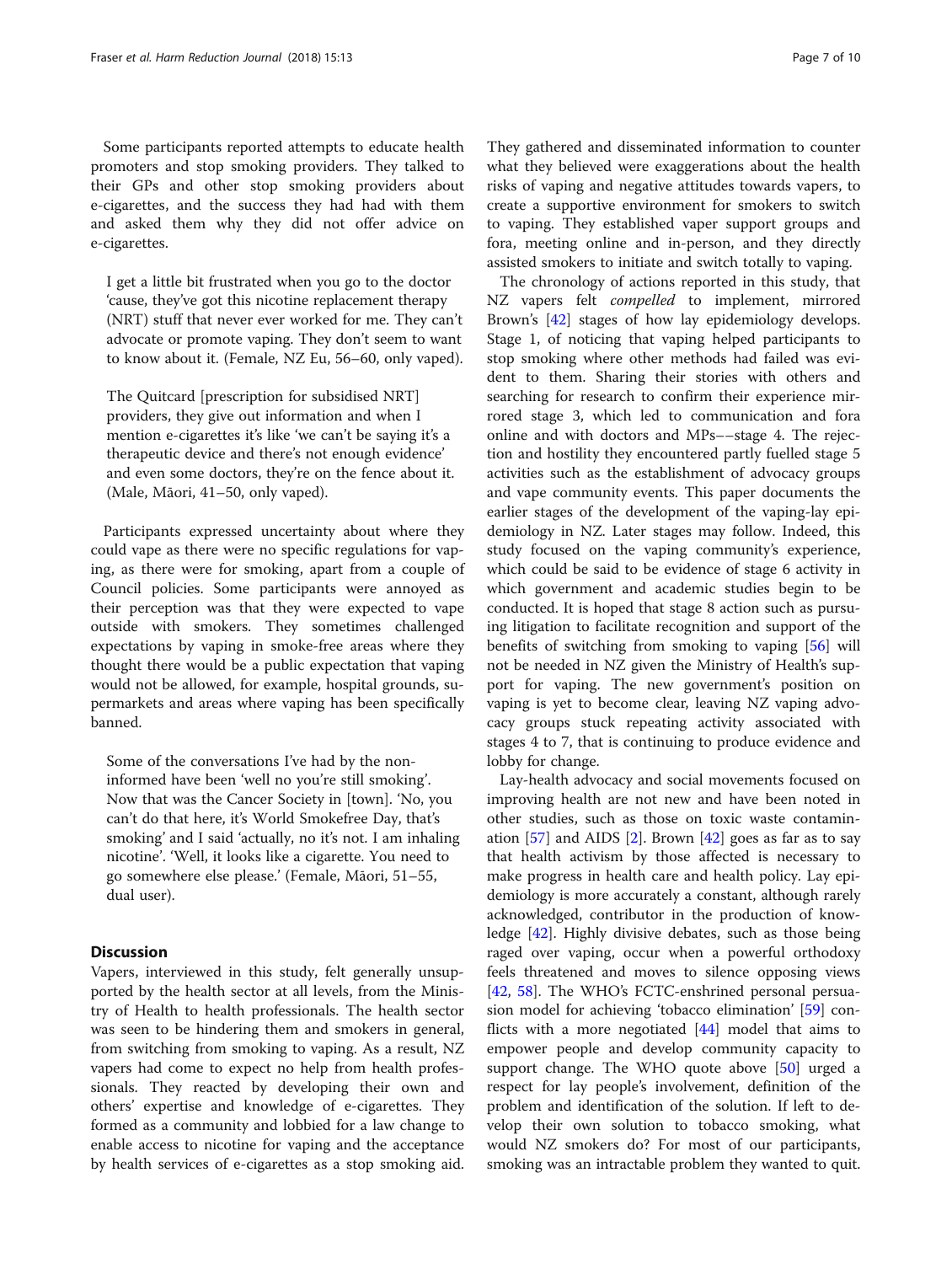Some participants reported attempts to educate health promoters and stop smoking providers. They talked to their GPs and other stop smoking providers about e-cigarettes, and the success they had had with them and asked them why they did not offer advice on e-cigarettes.

I get a little bit frustrated when you go to the doctor 'cause, they've got this nicotine replacement therapy (NRT) stuff that never ever worked for me. They can't advocate or promote vaping. They don't seem to want to know about it. (Female, NZ Eu, 56–60, only vaped).

The Quitcard [prescription for subsidised NRT] providers, they give out information and when I mention e-cigarettes it's like 'we can't be saying it's a therapeutic device and there's not enough evidence' and even some doctors, they're on the fence about it. (Male, Māori, 41–50, only vaped).

Participants expressed uncertainty about where they could vape as there were no specific regulations for vaping, as there were for smoking, apart from a couple of Council policies. Some participants were annoyed as their perception was that they were expected to vape outside with smokers. They sometimes challenged expectations by vaping in smoke-free areas where they thought there would be a public expectation that vaping would not be allowed, for example, hospital grounds, supermarkets and areas where vaping has been specifically banned.

Some of the conversations I've had by the noninformed have been 'well no you're still smoking'. Now that was the Cancer Society in [town]. 'No, you can't do that here, it's World Smokefree Day, that's smoking' and I said 'actually, no it's not. I am inhaling nicotine'. 'Well, it looks like a cigarette. You need to go somewhere else please.' (Female, Māori, 51–55, dual user).

## **Discussion**

Vapers, interviewed in this study, felt generally unsupported by the health sector at all levels, from the Ministry of Health to health professionals. The health sector was seen to be hindering them and smokers in general, from switching from smoking to vaping. As a result, NZ vapers had come to expect no help from health professionals. They reacted by developing their own and others' expertise and knowledge of e-cigarettes. They formed as a community and lobbied for a law change to enable access to nicotine for vaping and the acceptance by health services of e-cigarettes as a stop smoking aid.

They gathered and disseminated information to counter what they believed were exaggerations about the health risks of vaping and negative attitudes towards vapers, to create a supportive environment for smokers to switch to vaping. They established vaper support groups and fora, meeting online and in-person, and they directly assisted smokers to initiate and switch totally to vaping.

The chronology of actions reported in this study, that NZ vapers felt compelled to implement, mirrored Brown's [[42](#page-9-0)] stages of how lay epidemiology develops. Stage 1, of noticing that vaping helped participants to stop smoking where other methods had failed was evident to them. Sharing their stories with others and searching for research to confirm their experience mirrored stage 3, which led to communication and fora online and with doctors and MPs––stage 4. The rejection and hostility they encountered partly fuelled stage 5 activities such as the establishment of advocacy groups and vape community events. This paper documents the earlier stages of the development of the vaping-lay epidemiology in NZ. Later stages may follow. Indeed, this study focused on the vaping community's experience, which could be said to be evidence of stage 6 activity in which government and academic studies begin to be conducted. It is hoped that stage 8 action such as pursuing litigation to facilitate recognition and support of the benefits of switching from smoking to vaping [[56\]](#page-9-0) will not be needed in NZ given the Ministry of Health's support for vaping. The new government's position on vaping is yet to become clear, leaving NZ vaping advocacy groups stuck repeating activity associated with stages 4 to 7, that is continuing to produce evidence and lobby for change.

Lay-health advocacy and social movements focused on improving health are not new and have been noted in other studies, such as those on toxic waste contamination  $[57]$  $[57]$  $[57]$  and AIDS  $[2]$  $[2]$ . Brown  $[42]$  $[42]$  goes as far as to say that health activism by those affected is necessary to make progress in health care and health policy. Lay epidemiology is more accurately a constant, although rarely acknowledged, contributor in the production of knowledge [\[42](#page-9-0)]. Highly divisive debates, such as those being raged over vaping, occur when a powerful orthodoxy feels threatened and moves to silence opposing views [[42,](#page-9-0) [58\]](#page-9-0). The WHO's FCTC-enshrined personal persuasion model for achieving 'tobacco elimination' [[59](#page-9-0)] conflicts with a more negotiated [[44](#page-9-0)] model that aims to empower people and develop community capacity to support change. The WHO quote above [[50\]](#page-9-0) urged a respect for lay people's involvement, definition of the problem and identification of the solution. If left to develop their own solution to tobacco smoking, what would NZ smokers do? For most of our participants, smoking was an intractable problem they wanted to quit.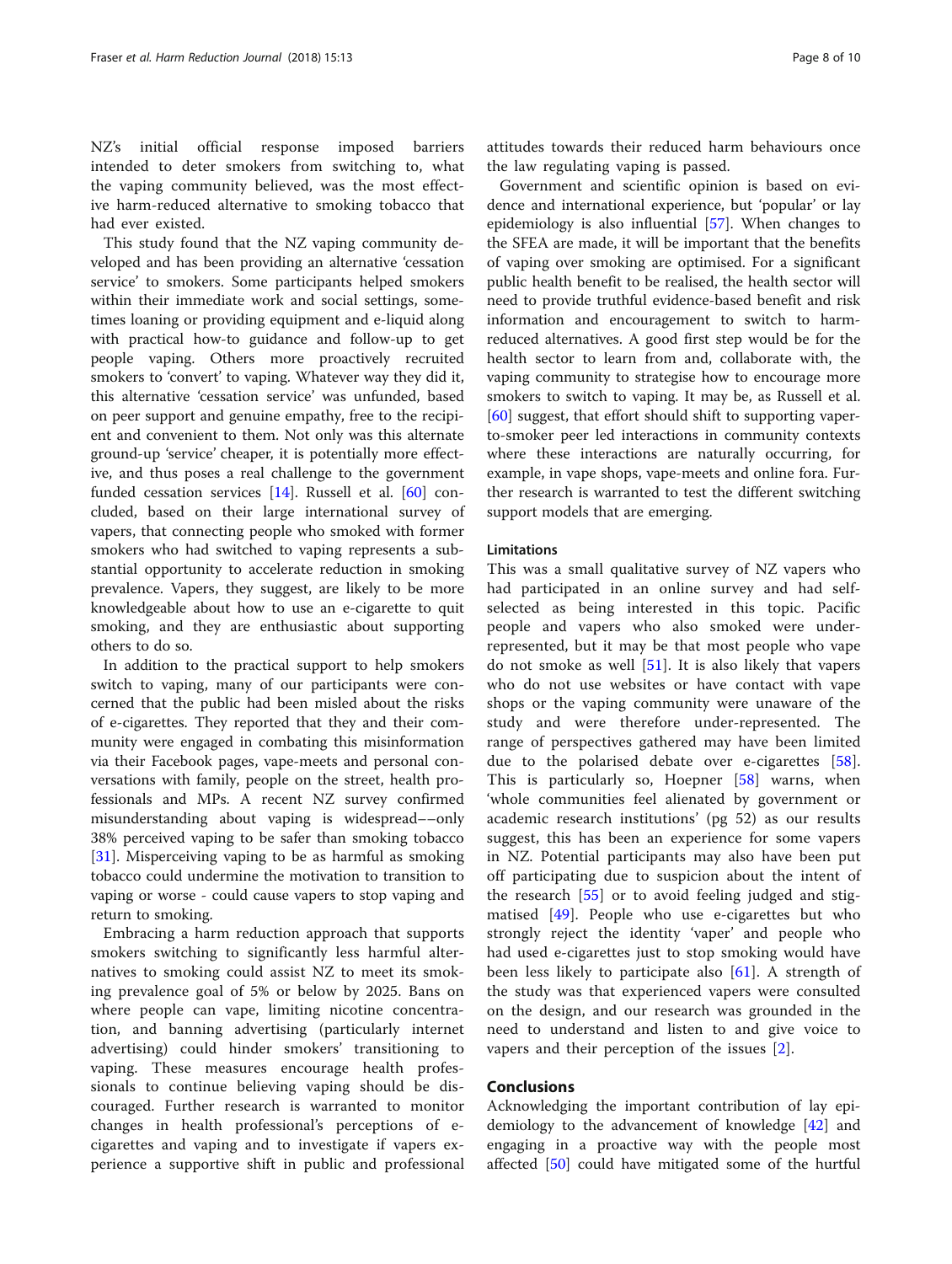NZ's initial official response imposed barriers intended to deter smokers from switching to, what the vaping community believed, was the most effective harm-reduced alternative to smoking tobacco that had ever existed.

This study found that the NZ vaping community developed and has been providing an alternative 'cessation service' to smokers. Some participants helped smokers within their immediate work and social settings, sometimes loaning or providing equipment and e-liquid along with practical how-to guidance and follow-up to get people vaping. Others more proactively recruited smokers to 'convert' to vaping. Whatever way they did it, this alternative 'cessation service' was unfunded, based on peer support and genuine empathy, free to the recipient and convenient to them. Not only was this alternate ground-up 'service' cheaper, it is potentially more effective, and thus poses a real challenge to the government funded cessation services [[14](#page-8-0)]. Russell et al. [\[60](#page-9-0)] concluded, based on their large international survey of vapers, that connecting people who smoked with former smokers who had switched to vaping represents a substantial opportunity to accelerate reduction in smoking prevalence. Vapers, they suggest, are likely to be more knowledgeable about how to use an e-cigarette to quit smoking, and they are enthusiastic about supporting others to do so.

In addition to the practical support to help smokers switch to vaping, many of our participants were concerned that the public had been misled about the risks of e-cigarettes. They reported that they and their community were engaged in combating this misinformation via their Facebook pages, vape-meets and personal conversations with family, people on the street, health professionals and MPs. A recent NZ survey confirmed misunderstanding about vaping is widespread––only 38% perceived vaping to be safer than smoking tobacco [[31\]](#page-9-0). Misperceiving vaping to be as harmful as smoking tobacco could undermine the motivation to transition to vaping or worse - could cause vapers to stop vaping and return to smoking.

Embracing a harm reduction approach that supports smokers switching to significantly less harmful alternatives to smoking could assist NZ to meet its smoking prevalence goal of 5% or below by 2025. Bans on where people can vape, limiting nicotine concentration, and banning advertising (particularly internet advertising) could hinder smokers' transitioning to vaping. These measures encourage health professionals to continue believing vaping should be discouraged. Further research is warranted to monitor changes in health professional's perceptions of ecigarettes and vaping and to investigate if vapers experience a supportive shift in public and professional attitudes towards their reduced harm behaviours once the law regulating vaping is passed.

Government and scientific opinion is based on evidence and international experience, but 'popular' or lay epidemiology is also influential [[57\]](#page-9-0). When changes to the SFEA are made, it will be important that the benefits of vaping over smoking are optimised. For a significant public health benefit to be realised, the health sector will need to provide truthful evidence-based benefit and risk information and encouragement to switch to harmreduced alternatives. A good first step would be for the health sector to learn from and, collaborate with, the vaping community to strategise how to encourage more smokers to switch to vaping. It may be, as Russell et al. [[60\]](#page-9-0) suggest, that effort should shift to supporting vaperto-smoker peer led interactions in community contexts where these interactions are naturally occurring, for example, in vape shops, vape-meets and online fora. Further research is warranted to test the different switching support models that are emerging.

#### **Limitations**

This was a small qualitative survey of NZ vapers who had participated in an online survey and had selfselected as being interested in this topic. Pacific people and vapers who also smoked were underrepresented, but it may be that most people who vape do not smoke as well  $[51]$  $[51]$ . It is also likely that vapers who do not use websites or have contact with vape shops or the vaping community were unaware of the study and were therefore under-represented. The range of perspectives gathered may have been limited due to the polarised debate over e-cigarettes [\[58](#page-9-0)]. This is particularly so, Hoepner [\[58](#page-9-0)] warns, when 'whole communities feel alienated by government or academic research institutions' (pg 52) as our results suggest, this has been an experience for some vapers in NZ. Potential participants may also have been put off participating due to suspicion about the intent of the research [[55](#page-9-0)] or to avoid feeling judged and stigmatised [[49\]](#page-9-0). People who use e-cigarettes but who strongly reject the identity 'vaper' and people who had used e-cigarettes just to stop smoking would have been less likely to participate also  $[61]$  $[61]$  $[61]$ . A strength of the study was that experienced vapers were consulted on the design, and our research was grounded in the need to understand and listen to and give voice to vapers and their perception of the issues [[2\]](#page-8-0).

## **Conclusions**

Acknowledging the important contribution of lay epidemiology to the advancement of knowledge [[42\]](#page-9-0) and engaging in a proactive way with the people most affected [\[50\]](#page-9-0) could have mitigated some of the hurtful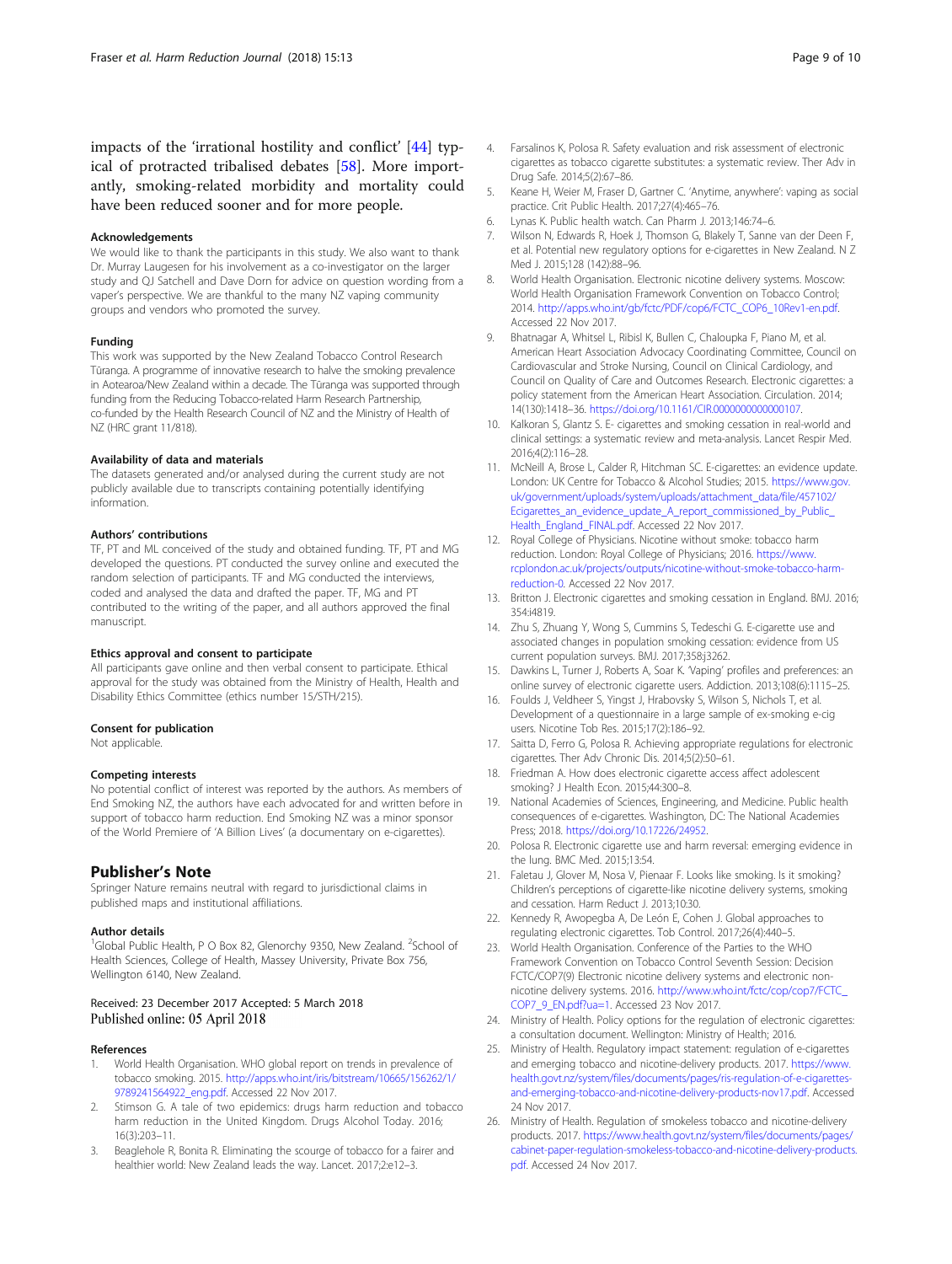<span id="page-8-0"></span>impacts of the 'irrational hostility and conflict' [[44](#page-9-0)] typical of protracted tribalised debates [\[58](#page-9-0)]. More importantly, smoking-related morbidity and mortality could have been reduced sooner and for more people.

#### Acknowledgements

We would like to thank the participants in this study. We also want to thank Dr. Murray Laugesen for his involvement as a co-investigator on the larger study and QJ Satchell and Dave Dorn for advice on question wording from a vaper's perspective. We are thankful to the many NZ vaping community groups and vendors who promoted the survey.

#### Funding

This work was supported by the New Zealand Tobacco Control Research Tūranga. A programme of innovative research to halve the smoking prevalence in Aotearoa/New Zealand within a decade. The Tūranga was supported through funding from the Reducing Tobacco-related Harm Research Partnership, co-funded by the Health Research Council of NZ and the Ministry of Health of NZ (HRC grant 11/818).

#### Availability of data and materials

The datasets generated and/or analysed during the current study are not publicly available due to transcripts containing potentially identifying information.

#### Authors' contributions

TF, PT and ML conceived of the study and obtained funding. TF, PT and MG developed the questions. PT conducted the survey online and executed the random selection of participants. TF and MG conducted the interviews, coded and analysed the data and drafted the paper. TF, MG and PT contributed to the writing of the paper, and all authors approved the final manuscript.

#### Ethics approval and consent to participate

All participants gave online and then verbal consent to participate. Ethical approval for the study was obtained from the Ministry of Health, Health and Disability Ethics Committee (ethics number 15/STH/215).

#### Consent for publication

Not applicable.

#### Competing interests

No potential conflict of interest was reported by the authors. As members of End Smoking NZ, the authors have each advocated for and written before in support of tobacco harm reduction. End Smoking NZ was a minor sponsor of the World Premiere of 'A Billion Lives' (a documentary on e-cigarettes).

#### Publisher's Note

Springer Nature remains neutral with regard to jurisdictional claims in published maps and institutional affiliations.

#### Author details

<sup>1</sup>Global Public Health, P O Box 82, Glenorchy 9350, New Zealand. <sup>2</sup>School of Health Sciences, College of Health, Massey University, Private Box 756, Wellington 6140, New Zealand.

#### Received: 23 December 2017 Accepted: 5 March 2018 Published online: 05 April 2018

#### References

- 1. World Health Organisation. WHO global report on trends in prevalence of tobacco smoking. 2015. [http://apps.who.int/iris/bitstream/10665/156262/1/](http://apps.who.int/iris/bitstream/10665/156262/1/9789241564922_eng.pdf) [9789241564922\\_eng.pdf](http://apps.who.int/iris/bitstream/10665/156262/1/9789241564922_eng.pdf). Accessed 22 Nov 2017.
- Stimson G. A tale of two epidemics: drugs harm reduction and tobacco harm reduction in the United Kingdom. Drugs Alcohol Today. 2016; 16(3):203–11.
- Beaglehole R, Bonita R. Eliminating the scourge of tobacco for a fairer and healthier world: New Zealand leads the way. Lancet. 2017;2:e12–3.
- 4. Farsalinos K, Polosa R. Safety evaluation and risk assessment of electronic cigarettes as tobacco cigarette substitutes: a systematic review. Ther Adv in Drug Safe. 2014;5(2):67–86.
- 5. Keane H, Weier M, Fraser D, Gartner C. 'Anytime, anywhere': vaping as social practice. Crit Public Health. 2017;27(4):465–76.
- 6. Lynas K. Public health watch. Can Pharm J. 2013;146:74–6.
- 7. Wilson N, Edwards R, Hoek J, Thomson G, Blakely T, Sanne van der Deen F, et al. Potential new regulatory options for e-cigarettes in New Zealand. N Z Med J. 2015;128 (142):88–96.
- 8. World Health Organisation. Electronic nicotine delivery systems. Moscow: World Health Organisation Framework Convention on Tobacco Control; 2014. [http://apps.who.int/gb/fctc/PDF/cop6/FCTC\\_COP6\\_10Rev1-en.pdf](http://apps.who.int/gb/fctc/PDF/cop6/FCTC_COP6_10Rev1-en.pdf). Accessed 22 Nov 2017.
- 9. Bhatnagar A, Whitsel L, Ribisl K, Bullen C, Chaloupka F, Piano M, et al. American Heart Association Advocacy Coordinating Committee, Council on Cardiovascular and Stroke Nursing, Council on Clinical Cardiology, and Council on Quality of Care and Outcomes Research. Electronic cigarettes: a policy statement from the American Heart Association. Circulation. 2014; 14(130):1418–36. <https://doi.org/10.1161/CIR.0000000000000107>.
- 10. Kalkoran S, Glantz S. E- cigarettes and smoking cessation in real-world and clinical settings: a systematic review and meta-analysis. Lancet Respir Med. 2016;4(2):116–28.
- 11. McNeill A, Brose L, Calder R, Hitchman SC. E-cigarettes: an evidence update. London: UK Centre for Tobacco & Alcohol Studies; 2015. [https://www.gov.](https://www.gov.uk/government/uploads/system/uploads/attachment_data/file/457102/Ecigarettes_an_evidence_update_A_report_commissioned_by_Public_Health_England_FINAL.pdf%20) [uk/government/uploads/system/uploads/attachment\\_data/file/457102/](https://www.gov.uk/government/uploads/system/uploads/attachment_data/file/457102/Ecigarettes_an_evidence_update_A_report_commissioned_by_Public_Health_England_FINAL.pdf%20) [Ecigarettes\\_an\\_evidence\\_update\\_A\\_report\\_commissioned\\_by\\_Public\\_](https://www.gov.uk/government/uploads/system/uploads/attachment_data/file/457102/Ecigarettes_an_evidence_update_A_report_commissioned_by_Public_Health_England_FINAL.pdf%20) [Health\\_England\\_FINAL.pdf.](https://www.gov.uk/government/uploads/system/uploads/attachment_data/file/457102/Ecigarettes_an_evidence_update_A_report_commissioned_by_Public_Health_England_FINAL.pdf%20) Accessed 22 Nov 2017.
- 12. Royal College of Physicians. Nicotine without smoke: tobacco harm reduction. London: Royal College of Physicians; 2016. [https://www.](https://www.rcplondon.ac.uk/projects/outputs/nicotine-without-smoke-tobacco-harm-reduction-0) [rcplondon.ac.uk/projects/outputs/nicotine-without-smoke-tobacco-harm](https://www.rcplondon.ac.uk/projects/outputs/nicotine-without-smoke-tobacco-harm-reduction-0)[reduction-0.](https://www.rcplondon.ac.uk/projects/outputs/nicotine-without-smoke-tobacco-harm-reduction-0) Accessed 22 Nov 2017.
- 13. Britton J. Electronic cigarettes and smoking cessation in England. BMJ. 2016; 354:i4819.
- 14. Zhu S, Zhuang Y, Wong S, Cummins S, Tedeschi G. E-cigarette use and associated changes in population smoking cessation: evidence from US current population surveys. BMJ. 2017;358:j3262.
- 15. Dawkins L, Turner J, Roberts A, Soar K. 'Vaping' profiles and preferences: an online survey of electronic cigarette users. Addiction. 2013;108(6):1115–25.
- 16. Foulds J, Veldheer S, Yingst J, Hrabovsky S, Wilson S, Nichols T, et al. Development of a questionnaire in a large sample of ex-smoking e-cig users. Nicotine Tob Res. 2015;17(2):186–92.
- 17. Saitta D, Ferro G, Polosa R. Achieving appropriate regulations for electronic cigarettes. Ther Adv Chronic Dis. 2014;5(2):50–61.
- 18. Friedman A. How does electronic cigarette access affect adolescent smoking? J Health Econ. 2015;44:300–8.
- 19. National Academies of Sciences, Engineering, and Medicine. Public health consequences of e-cigarettes. Washington, DC: The National Academies Press; 2018. [https://doi.org/10.17226/24952.](https://doi.org/10.17226/24952)
- 20. Polosa R. Electronic cigarette use and harm reversal: emerging evidence in the lung. BMC Med. 2015;13:54.
- 21. Faletau J, Glover M, Nosa V, Pienaar F. Looks like smoking. Is it smoking? Children's perceptions of cigarette-like nicotine delivery systems, smoking and cessation. Harm Reduct J. 2013;10:30.
- 22. Kennedy R, Awopegba A, De León E, Cohen J. Global approaches to regulating electronic cigarettes. Tob Control. 2017;26(4):440–5.
- 23. World Health Organisation. Conference of the Parties to the WHO Framework Convention on Tobacco Control Seventh Session: Decision FCTC/COP7(9) Electronic nicotine delivery systems and electronic nonnicotine delivery systems. 2016. [http://www.who.int/fctc/cop/cop7/FCTC\\_](http://www.who.int/fctc/cop/cop7/FCTC_COP7_9_EN.pdf?ua=1) [COP7\\_9\\_EN.pdf?ua=1.](http://www.who.int/fctc/cop/cop7/FCTC_COP7_9_EN.pdf?ua=1) Accessed 23 Nov 2017.
- 24. Ministry of Health. Policy options for the regulation of electronic cigarettes: a consultation document. Wellington: Ministry of Health; 2016.
- 25. Ministry of Health. Regulatory impact statement: regulation of e-cigarettes and emerging tobacco and nicotine-delivery products. 2017. [https://www.](https://www.health.govt.nz/system/files/documents/pages/ris-regulation-of-e-cigarettes-and-emerging-tobacco-and-nicotine-delivery-products-nov17.pdf) [health.govt.nz/system/files/documents/pages/ris-regulation-of-e-cigarettes](https://www.health.govt.nz/system/files/documents/pages/ris-regulation-of-e-cigarettes-and-emerging-tobacco-and-nicotine-delivery-products-nov17.pdf)[and-emerging-tobacco-and-nicotine-delivery-products-nov17.pdf](https://www.health.govt.nz/system/files/documents/pages/ris-regulation-of-e-cigarettes-and-emerging-tobacco-and-nicotine-delivery-products-nov17.pdf). Accessed 24 Nov 2017.
- 26. Ministry of Health. Regulation of smokeless tobacco and nicotine-delivery products. 2017. [https://www.health.govt.nz/system/files/documents/pages/](https://www.health.govt.nz/system/files/documents/pages/cabinet-paper-regulation-smokeless-tobacco-and-nicotine-delivery-products.pdf) [cabinet-paper-regulation-smokeless-tobacco-and-nicotine-delivery-products.](https://www.health.govt.nz/system/files/documents/pages/cabinet-paper-regulation-smokeless-tobacco-and-nicotine-delivery-products.pdf) [pdf](https://www.health.govt.nz/system/files/documents/pages/cabinet-paper-regulation-smokeless-tobacco-and-nicotine-delivery-products.pdf). Accessed 24 Nov 2017.